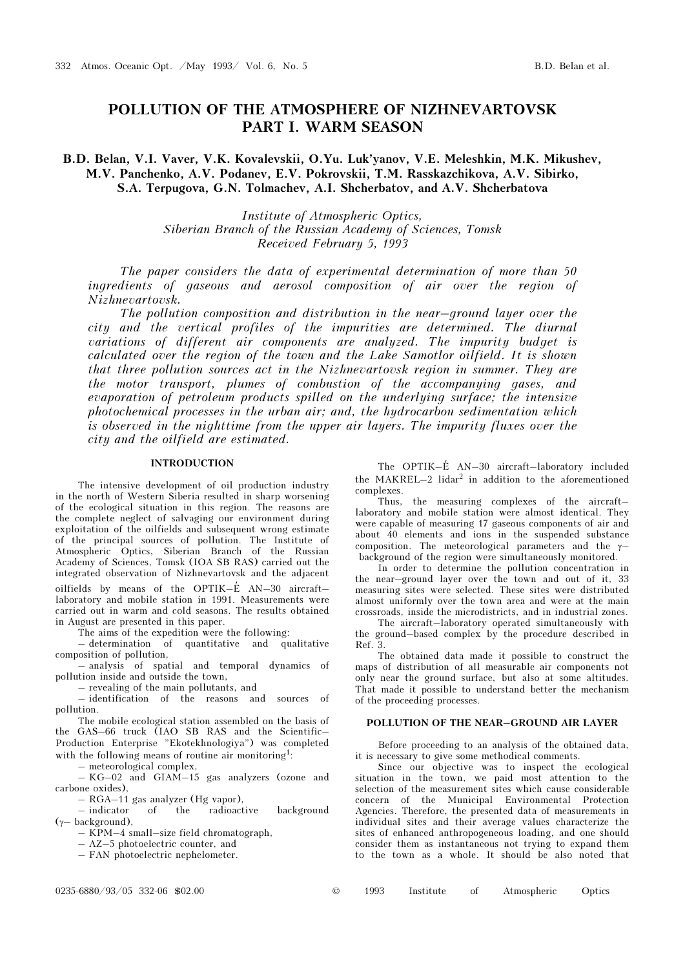# POLLUTION OF THE ATMOSPHERE OF NIZHNEVARTOVSK PART I. WARM SEASON

# B.D. Belan, V.I. Vaver, V.K. Kovalevskii, O.Yu. Luk'yanov, V.E. Meleshkin, M.K. Mikushev, M.V. Panchenko, A.V. Podanev, E.V. Pokrovskii, T.M. Rasskazchikova, A.V. Sibirko, S.A. Terpugova, G.N. Tolmachev, A.I. Shcherbatov, and A.V. Shcherbatova

Institute of Atmospheric Optics, Siberian Branch of the Russian Academy of Sciences, Tomsk Received February 5, 1993

The paper considers the data of experimental determination of more than 50 ingredients of gaseous and aerosol composition of air over the region of Nizhnevartovsk.

The pollution composition and distribution in the near–ground layer over the city and the vertical profiles of the impurities are determined. The diurnal variations of different air components are analyzed. The impurity budget is calculated over the region of the town and the Lake Samotlor oilfield. It is shown that three pollution sources act in the Nizhnevartovsk region in summer. They are the motor transport, plumes of combustion of the accompanying gases, and evaporation of petroleum products spilled on the underlying surface; the intensive photochemical processes in the urban air; and, the hydrocarbon sedimentation which is observed in the nighttime from the upper air layers. The impurity fluxes over the city and the oilfield are estimated.

# INTRODUCTION

The intensive development of oil production industry in the north of Western Siberia resulted in sharp worsening of the ecological situation in this region. The reasons are the complete neglect of salvaging our environment during exploitation of the oilfields and subsequent wrong estimate of the principal sources of pollution. The Institute of Atmospheric Optics, Siberian Branch of the Russian Academy of Sciences, Tomsk (IOA SB RAS) carried out the integrated observation of Nizhnevartovsk and the adjacent

oilfields by means of the OPTIK– $\acute{E}$  AN–30 aircraft– laboratory and mobile station in 1991. Measurements were carried out in warm and cold seasons. The results obtained in August are presented in this paper.

The aims of the expedition were the following:

– determination of quantitative and qualitative composition of pollution,

– analysis of spatial and temporal dynamics of pollution inside and outside the town,

– revealing of the main pollutants, and

– identification of the reasons and sources of pollution.

The mobile ecological station assembled on the basis of the GAS–66 truck (IAO SB RAS and the Scientific– Production Enterprise "Ekotekhnologiya") was completed with the following means of routine air monitoring<sup>1</sup>:

– meteorological complex,

– KG–02 and GIAM–15 gas analyzers (ozone and carbone oxides),

– RGA–11 gas analyzer (Hg vapor),

– indicator of the radioactive background (γ– background),

– KPM–4 small–size field chromatograph,

– AZ–5 photoelectric counter, and

– FAN photoelectric nephelometer.

The OPTIK-E<sup>'</sup> AN-30 aircraft-laboratory included the MAKREL $-2$  lidar<sup>2</sup> in addition to the aforementioned complexes.

Thus, the measuring complexes of the aircraft– laboratory and mobile station were almost identical. They were capable of measuring 17 gaseous components of air and about 40 elements and ions in the suspended substance composition. The meteorological parameters and the  $\gamma$ background of the region were simultaneously monitored.

In order to determine the pollution concentration in the near–ground layer over the town and out of it, 33 measuring sites were selected. These sites were distributed almost uniformly over the town area and were at the main crossroads, inside the microdistricts, and in industrial zones.

The aircraft–laboratory operated simultaneously with the ground–based complex by the procedure described in Ref. 3.

The obtained data made it possible to construct the maps of distribution of all measurable air components not only near the ground surface, but also at some altitudes. That made it possible to understand better the mechanism of the proceeding processes.

## POLLUTION OF THE NEAR–GROUND AIR LAYER

Before proceeding to an analysis of the obtained data, it is necessary to give some methodical comments.

Since our objective was to inspect the ecological situation in the town, we paid most attention to the selection of the measurement sites which cause considerable concern of the Municipal Environmental Protection Agencies. Therefore, the presented data of measurements in individual sites and their average values characterize the sites of enhanced anthropogeneous loading, and one should consider them as instantaneous not trying to expand them to the town as a whole. It should be also noted that

| 1993 | Institute |  | Atmospheric | Optics |
|------|-----------|--|-------------|--------|
|------|-----------|--|-------------|--------|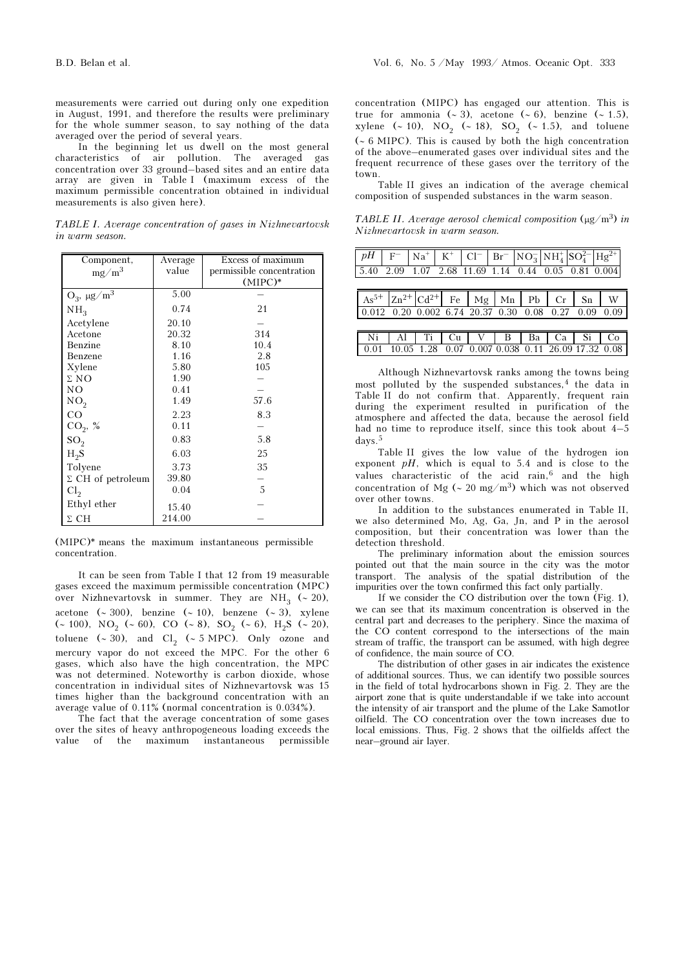In the beginning let us dwell on the most general characteristics of air pollution. The averaged gas concentration over 33 ground–based sites and an entire data array are given in Table I (maximum excess of the maximum permissible concentration obtained in individual measurements is also given here).

TABLE I. Average concentration of gases in Nizhnevartovsk in warm season.

| Component,               | Average | Excess of maximum         |  |  |  |  |
|--------------------------|---------|---------------------------|--|--|--|--|
| $mg/m^3$                 | value   | permissible concentration |  |  |  |  |
|                          |         | $(MIPC)*$                 |  |  |  |  |
| $O_3$ , $\mu g/m^3$      | 5.00    |                           |  |  |  |  |
| NH <sub>3</sub>          | 0.74    | 21                        |  |  |  |  |
| Acetylene                | 20.10   |                           |  |  |  |  |
| Acetone                  | 20.32   | 314                       |  |  |  |  |
| Benzine                  | 8.10    | 10.4                      |  |  |  |  |
| Benzene                  | 1.16    | 2.8                       |  |  |  |  |
| Xylene                   | 5.80    | 105                       |  |  |  |  |
| $\Sigma$ NO              | 1.90    |                           |  |  |  |  |
| NΟ                       | 0.41    |                           |  |  |  |  |
| NO <sub>2</sub>          | 1.49    | 57.6                      |  |  |  |  |
| CO                       | 2.23    | 8.3                       |  |  |  |  |
| $CO_{2}$ , %             | 0.11    |                           |  |  |  |  |
| SO <sub>2</sub>          | 0.83    | 5.8                       |  |  |  |  |
| $H_2S$                   | 6.03    | 25                        |  |  |  |  |
| Tolyene                  | 3.73    | 35                        |  |  |  |  |
| $\Sigma$ CH of petroleum | 39.80   |                           |  |  |  |  |
| Cl <sub>2</sub>          | 0.04    | 5                         |  |  |  |  |
| Ethyl ether              | 15.40   |                           |  |  |  |  |
| $\Sigma$ CH              | 214.00  |                           |  |  |  |  |

(MIPC)\* means the maximum instantaneous permissible concentration.

It can be seen from Table I that 12 from 19 measurable gases exceed the maximum permissible concentration (MPC) over Nizhnevartovsk in summer. They are NH<sub>3</sub> (~ 20), acetone (∼ 300), benzine (∼ 10), benzene (∼ 3), xylene (∼ 100), NO<sub>2</sub> (∼ 60), CO (∼ 8), SO<sub>2</sub> (∼ 6), H<sub>2</sub>S (∼ 20), toluene (~ 30), and  $Cl_2$  (~ 5 MPC). Only ozone and mercury vapor do not exceed the MPC. For the other 6 gases, which also have the high concentration, the MPC was not determined. Noteworthy is carbon dioxide, whose concentration in individual sites of Nizhnevartovsk was 15 times higher than the background concentration with an average value of 0.11% (normal concentration is 0.034%).

The fact that the average concentration of some gases over the sites of heavy anthropogeneous loading exceeds the value of the maximum instantaneous permissible concentration (MIPC) has engaged our attention. This is true for ammonia (∼ 3), acetone (∼ 6), benzine (∼ 1.5), xylene (~ 10), NO<sub>2</sub> (~ 18), SO<sub>2</sub> (~ 1.5), and toluene (∼ 6 MIPC). This is caused by both the high concentration of the above–enumerated gases over individual sites and the frequent recurrence of these gases over the territory of the town.

Table II gives an indication of the average chemical composition of suspended substances in the warm season.

TABLE II. Average aerosol chemical composition  $(\mu g/m^3)$  in Nizhnevartovsk in warm season.

|      |  |  | $pH$ F Na <sup>+</sup> K <sup>+</sup> Cl <sup>-</sup> Br <sup>-</sup> NO <sub>3</sub> NH <sub>4</sub> SO <sub>4</sub> <sup>2+</sup> Hg <sup>2+</sup> |  |  |
|------|--|--|------------------------------------------------------------------------------------------------------------------------------------------------------|--|--|
|      |  |  | 5.40 2.09 1.07 2.68 11.69 1.14 0.44 0.05 0.81 0.004                                                                                                  |  |  |
|      |  |  |                                                                                                                                                      |  |  |
|      |  |  | $As^{5+}$ $ Zn^{2+} Cd^{2+} $ Fe   Mg   Mn   Pb   Cr   Sn   W                                                                                        |  |  |
|      |  |  | $0.012$ $0.20$ $0.002$ $6.74$ $20.37$ $0.30$ $0.08$ $0.27$ $0.09$ $0.09$                                                                             |  |  |
|      |  |  |                                                                                                                                                      |  |  |
|      |  |  | Ni   Al   Ti   Cu   V   B   Ba   Ca   Si   Co                                                                                                        |  |  |
| 0.01 |  |  | 10.05 1.28 0.07 0.007 0.038 0.11 26.09 17.32 0.08                                                                                                    |  |  |

Although Nizhnevartovsk ranks among the towns being most polluted by the suspended substances,<sup>4</sup> the data in Table II do not confirm that. Apparently, frequent rain during the experiment resulted in purification of the atmosphere and affected the data, because the aerosol field had no time to reproduce itself, since this took about 4–5 days.<sup>5</sup>

Table II gives the low value of the hydrogen ion exponent  $pH$ , which is equal to 5.4 and is close to the values characteristic of the acid rain,<sup>6</sup> and the high concentration of Mg (∼ 20 mg/m<sup>3</sup>) which was not observed over other towns.

In addition to the substances enumerated in Table II, we also determined Mo, Ag, Ga, Jn, and P in the aerosol composition, but their concentration was lower than the detection threshold.

The preliminary information about the emission sources pointed out that the main source in the city was the motor transport. The analysis of the spatial distribution of the impurities over the town confirmed this fact only partially.

If we consider the CO distribution over the town (Fig. 1), we can see that its maximum concentration is observed in the central part and decreases to the periphery. Since the maxima of the CO content correspond to the intersections of the main stream of traffic, the transport can be assumed, with high degree of confidence, the main source of CO.

The distribution of other gases in air indicates the existence of additional sources. Thus, we can identify two possible sources in the field of total hydrocarbons shown in Fig. 2. They are the airport zone that is quite understandable if we take into account the intensity of air transport and the plume of the Lake Samotlor oilfield. The CO concentration over the town increases due to local emissions. Thus, Fig. 2 shows that the oilfields affect the near–ground air layer.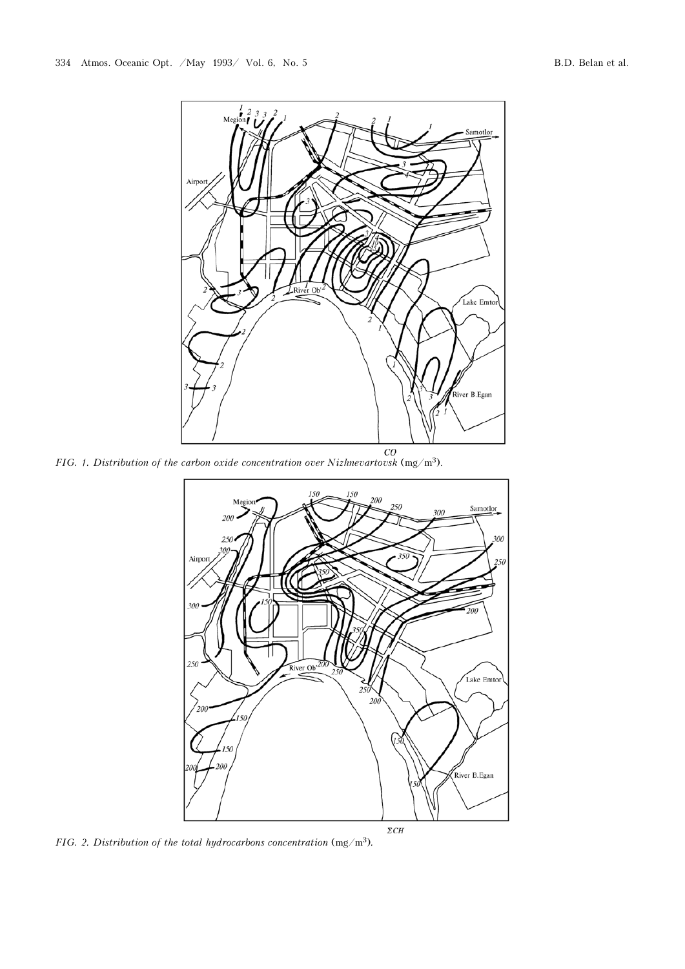

FIG. 1. Distribution of the carbon oxide concentration over Nizhnevartovsk  $(mg/m<sup>3</sup>)$ .



FIG. 2. Distribution of the total hydrocarbons concentration  $(mg/m<sup>3</sup>)$ .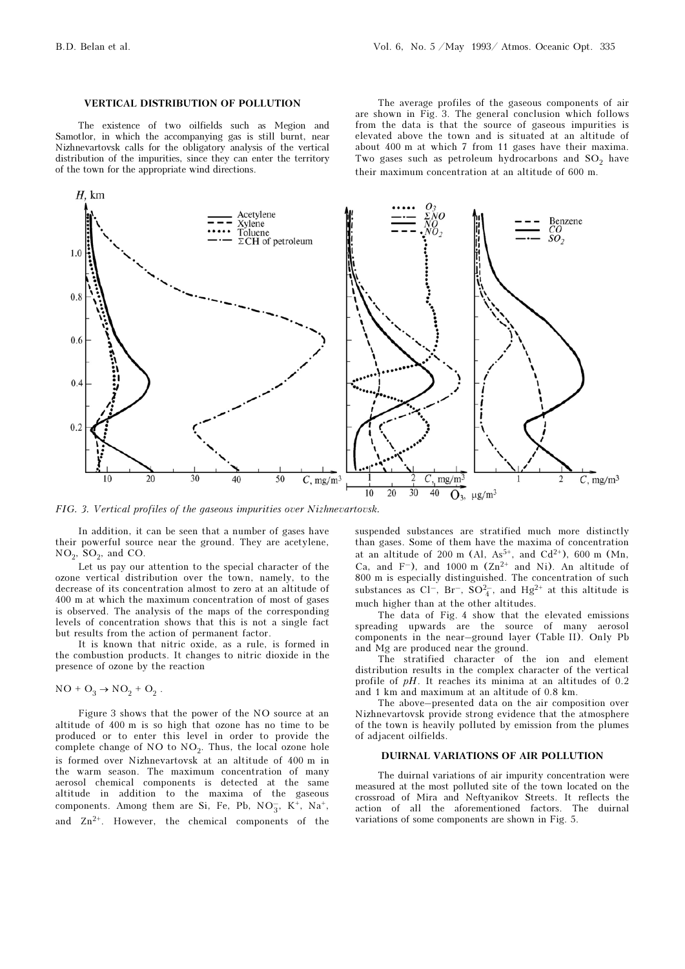#### VERTICAL DISTRIBUTION OF POLLUTION

The existence of two oilfields such as Megion and Samotlor, in which the accompanying gas is still burnt, near Nizhnevartovsk calls for the obligatory analysis of the vertical distribution of the impurities, since they can enter the territory of the town for the appropriate wind directions.

The average profiles of the gaseous components of air are shown in Fig. 3. The general conclusion which follows from the data is that the source of gaseous impurities is elevated above the town and is situated at an altitude of about 400 m at which 7 from 11 gases have their maxima. Two gases such as petroleum hydrocarbons and  $SO_2$  have their maximum concentration at an altitude of 600 m.



FIG. 3. Vertical profiles of the gaseous impurities over Nizhnevartovsk.

In addition, it can be seen that a number of gases have their powerful source near the ground. They are acetylene,  $NO_2$ ,  $SO_2$ , and CO.

Let us pay our attention to the special character of the ozone vertical distribution over the town, namely, to the decrease of its concentration almost to zero at an altitude of 400 m at which the maximum concentration of most of gases is observed. The analysis of the maps of the corresponding levels of concentration shows that this is not a single fact but results from the action of permanent factor.

It is known that nitric oxide, as a rule, is formed in the combustion products. It changes to nitric dioxide in the presence of ozone by the reaction

$$
NO + O_3 \rightarrow NO_2 + O_2.
$$

Figure 3 shows that the power of the NO source at an altitude of 400 m is so high that ozone has no time to be produced or to enter this level in order to provide the complete change of  $NO$  to  $NO<sub>2</sub>$ . Thus, the local ozone hole is formed over Nizhnevartovsk at an altitude of 400 m in the warm season. The maximum concentration of many aerosol chemical components is detected at the same altitude in addition to the maxima of the gaseous components. Among them are Si, Fe, Pb,  $NO_3^-$ ,  $K^+$ ,  $Na^+$ , and  $Zn^{2+}$ . However, the chemical components of the

suspended substances are stratified much more distinctly than gases. Some of them have the maxima of concentration at an altitude of 200 m (Al,  $As^{5+}$ , and  $Cd^{2+}$ ), 600 m (Mn, Ca, and  $F^-$ ), and 1000 m (Zn<sup>2+</sup> and Ni). An altitude of 800 m is especially distinguished. The concentration of such substances as Cl<sup>-</sup>, Br<sup>-</sup>, SO<sup>2</sup><sub>4</sub>, and Hg<sup>2+</sup> at this altitude is much higher than at the other altitudes.

The data of Fig. 4 show that the elevated emissions spreading upwards are the source of many aerosol components in the near–ground layer (Table II). Only Pb and Mg are produced near the ground.

The stratified character of the ion and element distribution results in the complex character of the vertical profile of pH. It reaches its minima at an altitudes of 0.2 and 1 km and maximum at an altitude of 0.8 km.

The above–presented data on the air composition over Nizhnevartovsk provide strong evidence that the atmosphere of the town is heavily polluted by emission from the plumes of adjacent oilfields.

# DUIRNAL VARIATIONS OF AIR POLLUTION

The duirnal variations of air impurity concentration were measured at the most polluted site of the town located on the crossroad of Mira and Neftyanikov Streets. It reflects the action of all the aforementioned factors. The duirnal variations of some components are shown in Fig. 5.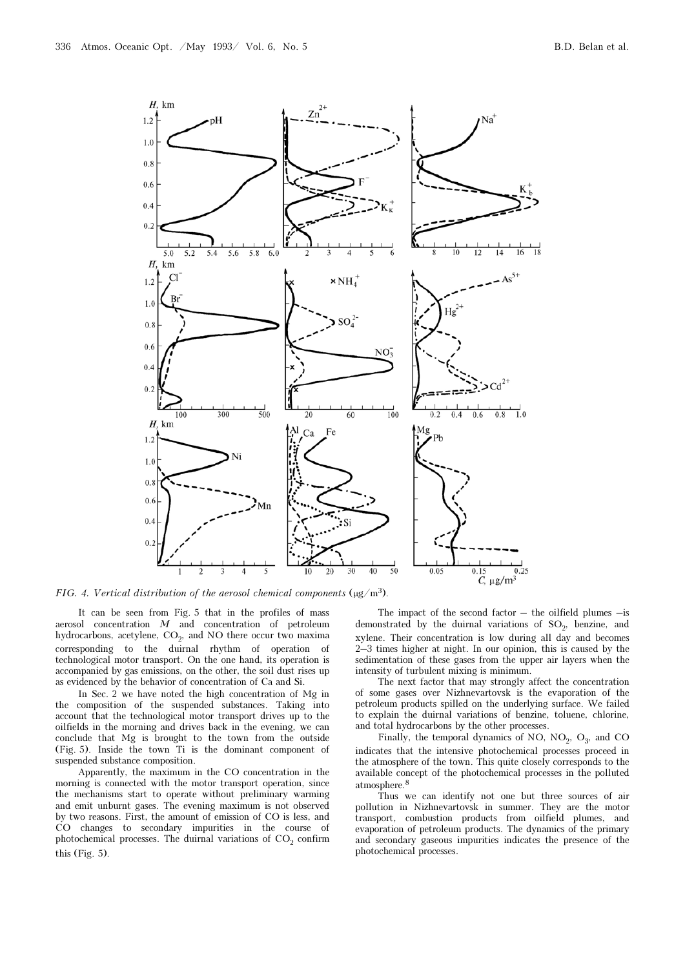

FIG. 4. Vertical distribution of the aerosol chemical components ( $\mu$ g/m<sup>3</sup>).

It can be seen from Fig. 5 that in the profiles of mass aerosol concentration  $M$  and concentration of petroleum hydrocarbons, acetylene, CO<sub>2</sub>, and NO there occur two maxima corresponding to the duirnal rhythm of operation of technological motor transport. On the one hand, its operation is accompanied by gas emissions, on the other, the soil dust rises up as evidenced by the behavior of concentration of Ca and Si.

In Sec. 2 we have noted the high concentration of Mg in the composition of the suspended substances. Taking into account that the technological motor transport drives up to the oilfields in the morning and drives back in the evening, we can conclude that Mg is brought to the town from the outside (Fig. 5). Inside the town Ti is the dominant component of suspended substance composition.

Apparently, the maximum in the CO concentration in the morning is connected with the motor transport operation, since the mechanisms start to operate without preliminary warming and emit unburnt gases. The evening maximum is not observed by two reasons. First, the amount of emission of CO is less, and CO changes to secondary impurities in the course of photochemical processes. The duirnal variations of  $CO_2$  confirm this (Fig. 5).

The impact of the second factor  $-$  the oilfield plumes  $-$ is demonstrated by the duirnal variations of  $SO_2$ , benzine, and xylene. Their concentration is low during all day and becomes 2–3 times higher at night. In our opinion, this is caused by the sedimentation of these gases from the upper air layers when the intensity of turbulent mixing is minimum.

The next factor that may strongly affect the concentration of some gases over Nizhnevartovsk is the evaporation of the petroleum products spilled on the underlying surface. We failed to explain the duirnal variations of benzine, toluene, chlorine, and total hydrocarbons by the other processes.

Finally, the temporal dynamics of NO,  $NO_2$ ,  $O_3$ , and CO indicates that the intensive photochemical processes proceed in the atmosphere of the town. This quite closely corresponds to the available concept of the photochemical processes in the polluted atmosphere.<sup>8</sup>

Thus we can identify not one but three sources of air pollution in Nizhnevartovsk in summer. They are the motor transport, combustion products from oilfield plumes, and evaporation of petroleum products. The dynamics of the primary and secondary gaseous impurities indicates the presence of the photochemical processes.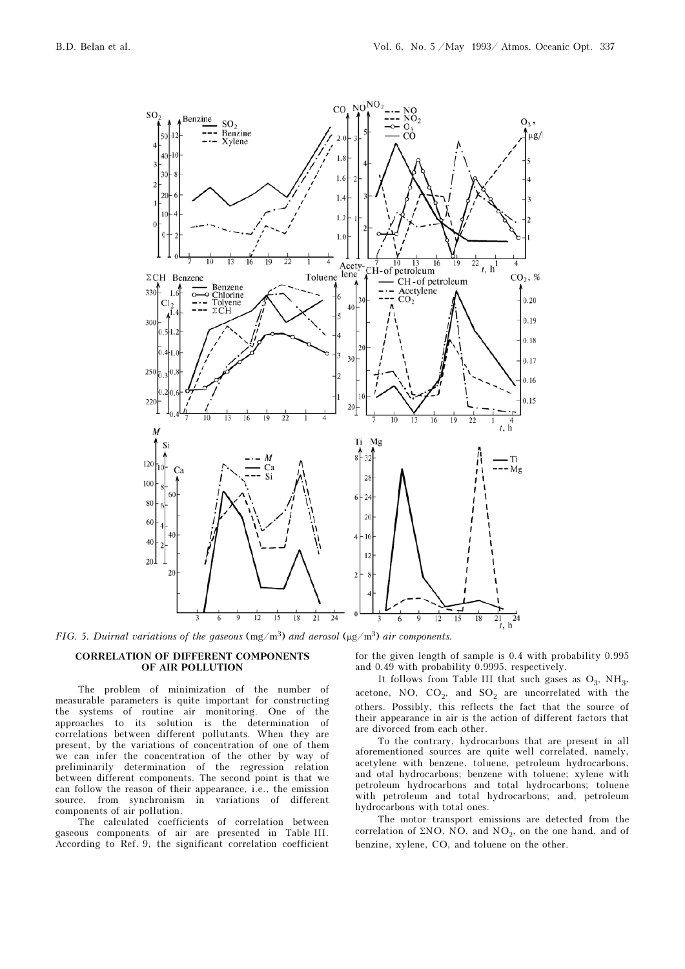

FIG. 5. Duirnal variations of the gaseous  $(mg/m^3)$  and aerosol  $(\mu g/m^3)$  air components.

#### CORRELATION OF DIFFERENT COMPONENTS OF AIR POLLUTION

The problem of minimization of the number of measurable parameters is quite important for constructing the systems of routine air monitoring. One of the approaches to its solution is the determination of correlations between different pollutants. When they are present, by the variations of concentration of one of them we can infer the concentration of the other by way of preliminarily determination of the regression relation between different components. The second point is that we can follow the reason of their appearance, i.e., the emission source, from synchronism in variations of different components of air pollution.

The calculated coefficients of correlation between gaseous components of air are presented in Table III. According to Ref. 9, the significant correlation coefficient

for the given length of sample is 0.4 with probability 0.995 and 0.49 with probability 0.9995, respectively.

It follows from Table III that such gases as  $O_3$ ,  $NH_3$ , acetone, NO,  $CO_2$ , and  $SO_2$  are uncorrelated with the others. Possibly, this reflects the fact that the source of their appearance in air is the action of different factors that are divorced from each other.

To the contrary, hydrocarbons that are present in all aforementioned sources are quite well correlated, namely, acetylene with benzene, toluene, petroleum hydrocarbons, and otal hydrocarbons; benzene with toluene; xylene with petroleum hydrocarbons and total hydrocarbons; toluene with petroleum and total hydrocarbons; and, petroleum hydrocarbons with total ones.

The motor transport emissions are detected from the correlation of ΣNO, NO, and  $NO_2$ , on the one hand, and of benzine, xylene, CO, and toluene on the other.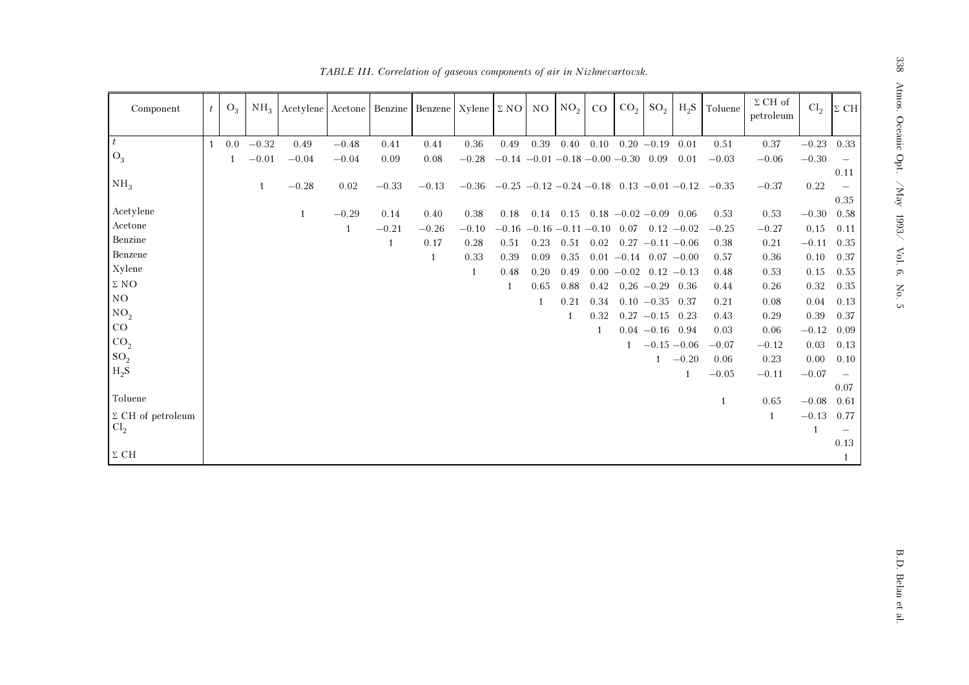| Component                | t            | $O_3$        | NH <sub>3</sub> | Acetylene Acetone Benzine |         |         | Benzene | $Xylene \Sigma NO NO$ |                                                      |      | NO <sub>2</sub> | CO           | CO <sub>2</sub>               | SO <sub>2</sub>    | $H_2S$  | Toluene | $\Sigma$ CH of<br>petroleum | Cl <sub>2</sub> | $\Sigma$ CH              |
|--------------------------|--------------|--------------|-----------------|---------------------------|---------|---------|---------|-----------------------|------------------------------------------------------|------|-----------------|--------------|-------------------------------|--------------------|---------|---------|-----------------------------|-----------------|--------------------------|
| $\boldsymbol{t}$         | $\mathbf{1}$ | 0.0          | $-0.32$         | 0.49                      | $-0.48$ | 0.41    | 0.41    | 0.36                  | 0.49                                                 | 0.39 | 0.40            | 0.10         |                               | $0.20 - 0.19$      | 0.01    | 0.51    | 0.37                        | $-0.23$ 0.33    |                          |
| $O_3$                    |              |              |                 |                           |         |         |         |                       |                                                      |      |                 |              |                               |                    |         |         |                             |                 |                          |
|                          |              | $\mathbf{1}$ | $-0.01$         | $-0.04$                   | $-0.04$ | 0.09    | 0.08    | $-0.28$               | $-0.14$ $-0.01$ $-0.18$ $-0.00$ $-0.30$ 0.09         |      |                 |              |                               |                    | 0.01    | $-0.03$ | $-0.06$                     | $-0.30$         | $\overline{\phantom{a}}$ |
| NH <sub>3</sub>          |              |              |                 |                           |         |         |         |                       |                                                      |      |                 |              |                               |                    |         |         |                             |                 | 0.11                     |
|                          |              |              | 1               | $-0.28$                   | 0.02    | $-0.33$ | $-0.13$ | $-0.36$               | $-0.25$ $-0.12$ $-0.24$ $-0.18$ 0.13 $-0.01$ $-0.12$ |      |                 |              |                               |                    |         | $-0.35$ | $-0.37$                     | 0.22            | $\overline{\phantom{m}}$ |
| Acetylene                |              |              |                 | $\mathbf{1}$              | $-0.29$ | 0.14    | 0.40    | 0.38                  | 0.18                                                 | 0.14 |                 |              | $0.15$ $0.18$ $-0.02$ $-0.09$ |                    | 0.06    | 0.53    | 0.53                        | $-0.30$         | 0.35<br>0.58             |
| Acetone                  |              |              |                 |                           |         |         |         | $-0.10$               | $-0.16$ $-0.16$ $-0.11$ $-0.10$                      |      |                 |              | 0.07                          |                    |         |         |                             |                 |                          |
| Benzine                  |              |              |                 |                           | 1       | $-0.21$ | $-0.26$ |                       |                                                      |      |                 |              |                               | $0.12 - 0.02$      |         | $-0.25$ | $-0.27$                     | 0,15            | 0.11                     |
| Benzene                  |              |              |                 |                           |         | 1       | 0.17    | 0.28                  | 0.51                                                 | 0.23 | 0.51            | 0.02         |                               | $0.27 -0.11 -0.06$ |         | 0.38    | 0.21                        | $-0.11$         | 0.35                     |
| Xylene                   |              |              |                 |                           |         |         | 1       | 0.33                  | 0.39                                                 | 0.09 | 0.35            |              | $0.01 - 0.14$ $0.07 - 0.00$   |                    |         | 0.57    | 0.36                        | 0.10            | 0.37                     |
| $\Sigma$ NO              |              |              |                 |                           |         |         |         | 1                     | 0.48                                                 | 0.20 | 0.49            |              | $0.00 -0.02$ $0.12 -0.13$     |                    |         | 0.48    | 0.53                        | 0.15            | 0.55                     |
|                          |              |              |                 |                           |         |         |         |                       | $\overline{1}$                                       | 0.65 | 0.88            | 0.42         |                               | $0,26 -0.29 0.36$  |         | 0.44    | 0.26                        | 0.32            | 0.35                     |
| NO                       |              |              |                 |                           |         |         |         |                       |                                                      | -1   | 0.21            | 0.34         |                               | $0.10 - 0.35 0.37$ |         | 0.21    | 0.08                        | 0.04            | 0.13                     |
| NO <sub>2</sub>          |              |              |                 |                           |         |         |         |                       |                                                      |      |                 | 0.32         |                               | $0.27 -0.15$ 0.23  |         | 0.43    | 0.29                        | 0.39            | 0.37                     |
| $\rm CO$                 |              |              |                 |                           |         |         |         |                       |                                                      |      |                 | $\mathbf{1}$ |                               | $0.04 - 0.16$ 0.94 |         | 0.03    | 0.06                        | $-0.12$         | 0.09                     |
| CO <sub>2</sub>          |              |              |                 |                           |         |         |         |                       |                                                      |      |                 |              | 1                             | $-0.15 - 0.06$     |         | $-0.07$ | $-0.12$                     | 0.03            | 0.13                     |
| SO <sub>2</sub>          |              |              |                 |                           |         |         |         |                       |                                                      |      |                 |              |                               |                    | $-0.20$ | 0.06    | 0.23                        | 0.00            | 0.10                     |
| $H_2S$                   |              |              |                 |                           |         |         |         |                       |                                                      |      |                 |              |                               |                    | 1       | $-0.05$ | $-0.11$                     | $-0.07$         | $\overline{\phantom{m}}$ |
|                          |              |              |                 |                           |         |         |         |                       |                                                      |      |                 |              |                               |                    |         |         |                             |                 | 0.07                     |
| Toluene                  |              |              |                 |                           |         |         |         |                       |                                                      |      |                 |              |                               |                    |         | -1      | 0.65                        | $-0.08$         | 0.61                     |
| $\Sigma$ CH of petroleum |              |              |                 |                           |         |         |         |                       |                                                      |      |                 |              |                               |                    |         |         | 1                           | $-0.13$ 0.77    |                          |
| Cl <sub>2</sub>          |              |              |                 |                           |         |         |         |                       |                                                      |      |                 |              |                               |                    |         |         |                             |                 |                          |
|                          |              |              |                 |                           |         |         |         |                       |                                                      |      |                 |              |                               |                    |         |         |                             |                 | 0.13                     |
| $\Sigma$ CH              |              |              |                 |                           |         |         |         |                       |                                                      |      |                 |              |                               |                    |         |         |                             |                 |                          |

TABLE III. Correlation of gaseous components of air in Nizhnevartovsk.